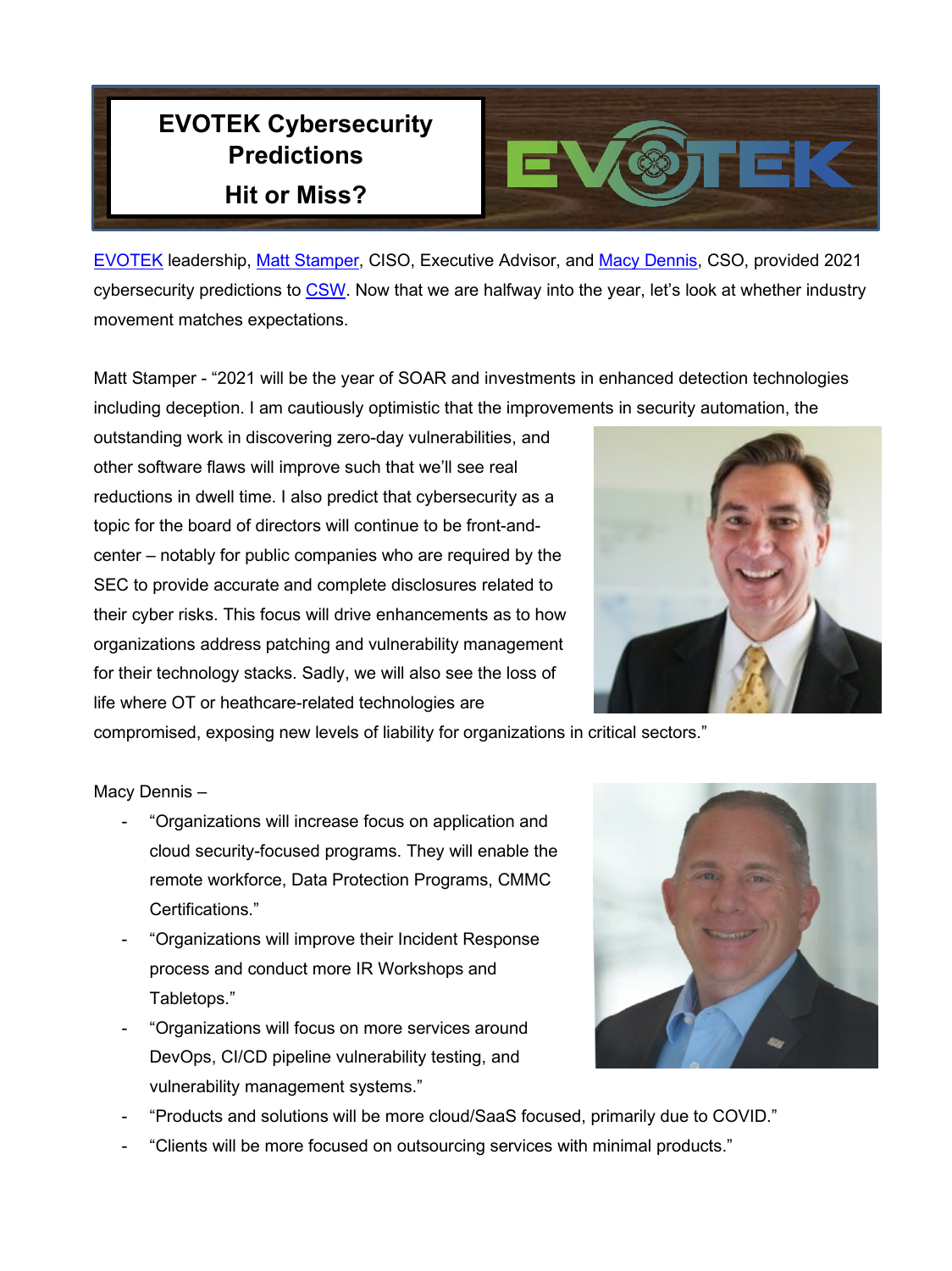## **EVOTEK Cybersecurity Predictions Hit or Miss?**



[EVOTEK](https://www.evotek.com/) leadership, [Matt Stamper,](https://www.linkedin.com/in/stamper/) CISO, Executive Advisor, and [Macy Dennis,](https://www.linkedin.com/in/macy-dennis-b948741/) CSO, provided 2021 cybersecurity predictions to [CSW.](https://cybersecurityworks.com/cyber-security-predictions-2021/macy-dennis.html) Now that we are halfway into the year, let's look at whether industry movement matches expectations.

Matt Stamper - "2021 will be the year of SOAR and investments in enhanced detection technologies including deception. I am cautiously optimistic that the improvements in security automation, the

outstanding work in discovering zero-day vulnerabilities, and other software flaws will improve such that we'll see real reductions in dwell time. I also predict that cybersecurity as a topic for the board of directors will continue to be front-andcenter – notably for public companies who are required by the SEC to provide accurate and complete disclosures related to their cyber risks. This focus will drive enhancements as to how organizations address patching and vulnerability management for their technology stacks. Sadly, we will also see the loss of life where OT or heathcare-related technologies are

compromised, exposing new levels of liability for organizations in critical sectors."

## Macy Dennis –

- "Organizations will increase focus on application and cloud security-focused programs. They will enable the remote workforce, Data Protection Programs, CMMC Certifications."
- "Organizations will improve their Incident Response process and conduct more IR Workshops and Tabletops."
- "Organizations will focus on more services around DevOps, CI/CD pipeline vulnerability testing, and vulnerability management systems."



- "Products and solutions will be more cloud/SaaS focused, primarily due to COVID."
- "Clients will be more focused on outsourcing services with minimal products."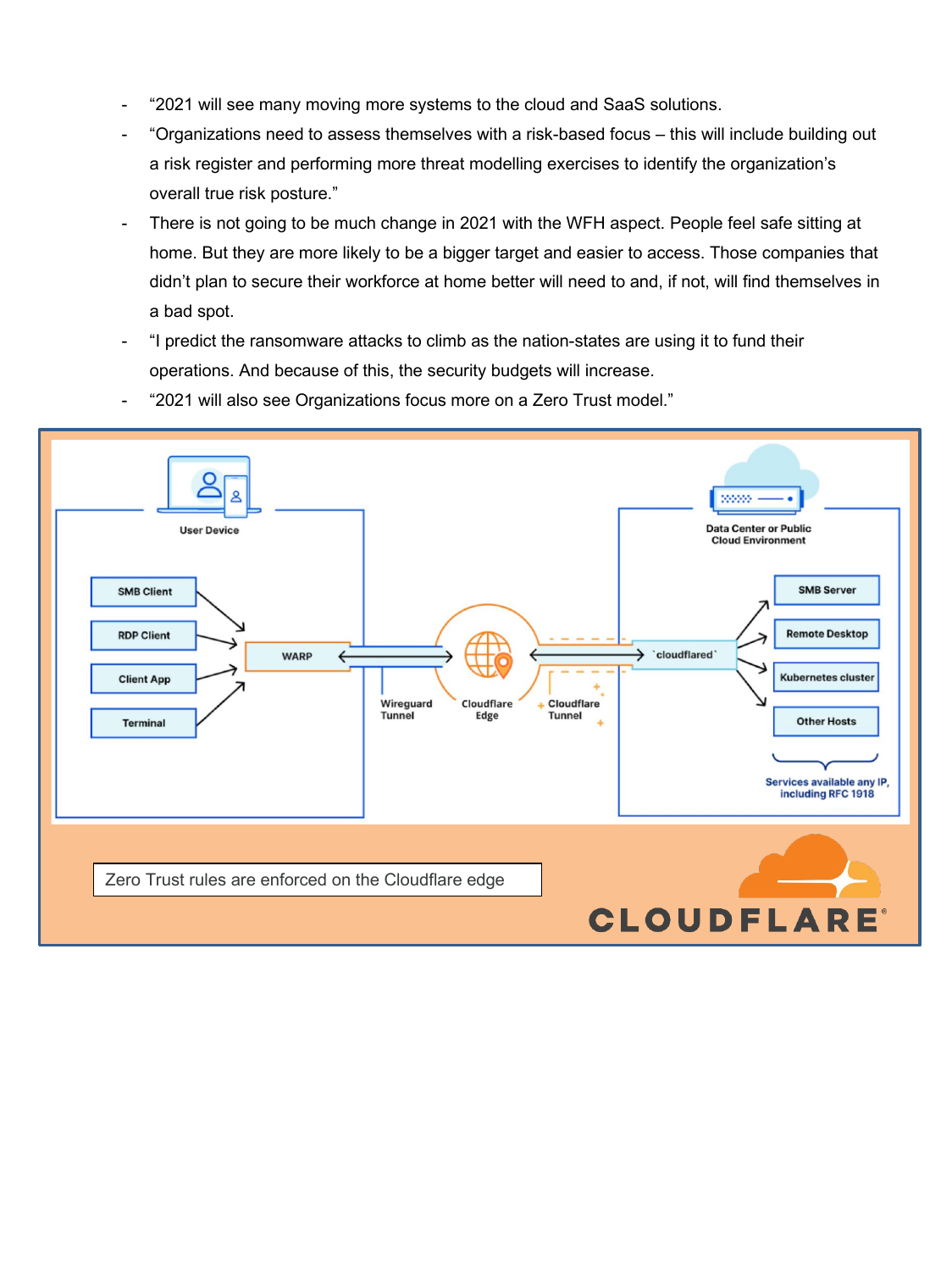- "2021 will see many moving more systems to the cloud and SaaS solutions.
- "Organizations need to assess themselves with a risk-based focus this will include building out a risk register and performing more threat modelling exercises to identify the organization's overall true risk posture."
- There is not going to be much change in 2021 with the WFH aspect. People feel safe sitting at home. But they are more likely to be a bigger target and easier to access. Those companies that didn't plan to secure their workforce at home better will need to and, if not, will find themselves in a bad spot.
- "I predict the ransomware attacks to climb as the nation-states are using it to fund their operations. And because of this, the security budgets will increase.
- "2021 will also see Organizations focus more on a Zero Trust model."